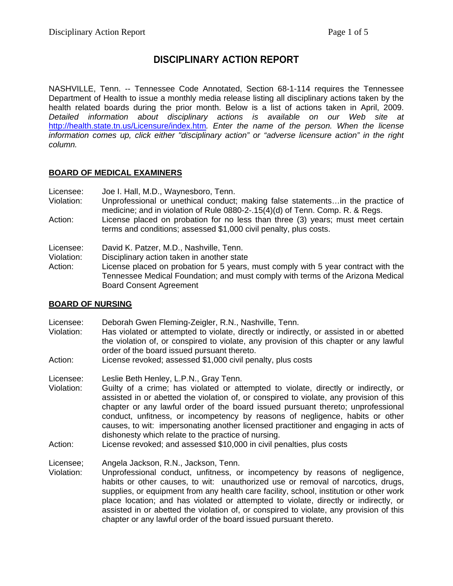# **DISCIPLINARY ACTION REPORT**

NASHVILLE, Tenn. -- Tennessee Code Annotated, Section 68-1-114 requires the Tennessee Department of Health to issue a monthly media release listing all disciplinary actions taken by the health related boards during the prior month. Below is a list of actions taken in April, 2009. *Detailed information about disciplinary actions is available on our Web site at*  http://health.state.tn.us/Licensure/index.htm*. Enter the name of the person. When the license information comes up, click either "disciplinary action" or "adverse licensure action" in the right column.* 

### **BOARD OF MEDICAL EXAMINERS**

Licensee: Joe I. Hall, M.D., Waynesboro, Tenn.

- Violation: Unprofessional or unethical conduct; making false statements…in the practice of medicine; and in violation of Rule 0880-2-.15(4)(d) of Tenn. Comp. R. & Regs.
- Action: License placed on probation for no less than three (3) years; must meet certain terms and conditions; assessed \$1,000 civil penalty, plus costs.

### Licensee: David K. Patzer, M.D., Nashville, Tenn.

Violation: Disciplinary action taken in another state

Action: License placed on probation for 5 years, must comply with 5 year contract with the Tennessee Medical Foundation; and must comply with terms of the Arizona Medical Board Consent Agreement

### **BOARD OF NURSING**

- Licensee: Deborah Gwen Fleming-Zeigler, R.N., Nashville, Tenn.
- Violation: Has violated or attempted to violate, directly or indirectly, or assisted in or abetted the violation of, or conspired to violate, any provision of this chapter or any lawful order of the board issued pursuant thereto.
- Action: License revoked; assessed \$1,000 civil penalty, plus costs

Licensee: Leslie Beth Henley, L.P.N., Gray Tenn.

- Violation: Guilty of a crime; has violated or attempted to violate, directly or indirectly, or assisted in or abetted the violation of, or conspired to violate, any provision of this chapter or any lawful order of the board issued pursuant thereto; unprofessional conduct, unfitness, or incompetency by reasons of negligence, habits or other causes, to wit: impersonating another licensed practitioner and engaging in acts of dishonesty which relate to the practice of nursing.
- Action: License revoked; and assessed \$10,000 in civil penalties, plus costs

Licensee; Angela Jackson, R.N., Jackson, Tenn.

Violation: Unprofessional conduct, unfitness, or incompetency by reasons of negligence, habits or other causes, to wit: unauthorized use or removal of narcotics, drugs, supplies, or equipment from any health care facility, school, institution or other work place location; and has violated or attempted to violate, directly or indirectly, or assisted in or abetted the violation of, or conspired to violate, any provision of this chapter or any lawful order of the board issued pursuant thereto.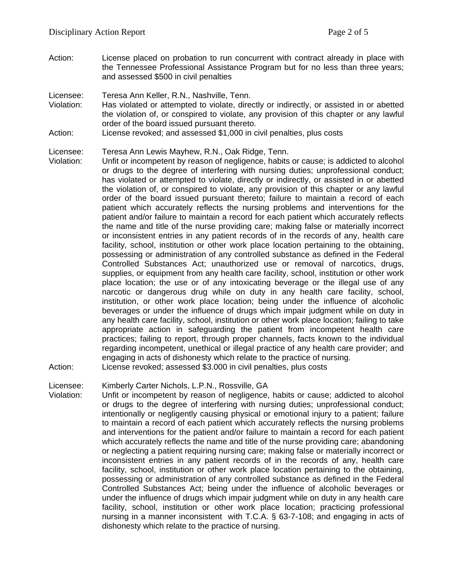Action: License placed on probation to run concurrent with contract already in place with the Tennessee Professional Assistance Program but for no less than three years; and assessed \$500 in civil penalties

### Licensee: Teresa Ann Keller, R.N., Nashville, Tenn.

- Violation: Has violated or attempted to violate, directly or indirectly, or assisted in or abetted the violation of, or conspired to violate, any provision of this chapter or any lawful order of the board issued pursuant thereto.
- Action: License revoked; and assessed \$1,000 in civil penalties, plus costs

Licensee: Teresa Ann Lewis Mayhew, R.N., Oak Ridge, Tenn.

Violation: Unfit or incompetent by reason of negligence, habits or cause; is addicted to alcohol or drugs to the degree of interfering with nursing duties; unprofessional conduct; has violated or attempted to violate, directly or indirectly, or assisted in or abetted the violation of, or conspired to violate, any provision of this chapter or any lawful order of the board issued pursuant thereto; failure to maintain a record of each patient which accurately reflects the nursing problems and interventions for the patient and/or failure to maintain a record for each patient which accurately reflects the name and title of the nurse providing care; making false or materially incorrect or inconsistent entries in any patient records of in the records of any, health care facility, school, institution or other work place location pertaining to the obtaining, possessing or administration of any controlled substance as defined in the Federal Controlled Substances Act; unauthorized use or removal of narcotics, drugs, supplies, or equipment from any health care facility, school, institution or other work place location; the use or of any intoxicating beverage or the illegal use of any narcotic or dangerous drug while on duty in any health care facility, school, institution, or other work place location; being under the influence of alcoholic beverages or under the influence of drugs which impair judgment while on duty in any health care facility, school, institution or other work place location; failing to take appropriate action in safeguarding the patient from incompetent health care practices; failing to report, through proper channels, facts known to the individual regarding incompetent, unethical or illegal practice of any health care provider; and engaging in acts of dishonesty which relate to the practice of nursing. Action: License revoked; assessed \$3.000 in civil penalties, plus costs

Licensee: Kimberly Carter Nichols, L.P.N., Rossville, GA

Violation: Unfit or incompetent by reason of negligence, habits or cause; addicted to alcohol or drugs to the degree of interfering with nursing duties; unprofessional conduct; intentionally or negligently causing physical or emotional injury to a patient; failure to maintain a record of each patient which accurately reflects the nursing problems and interventions for the patient and/or failure to maintain a record for each patient which accurately reflects the name and title of the nurse providing care; abandoning or neglecting a patient requiring nursing care; making false or materially incorrect or inconsistent entries in any patient records of in the records of any, health care facility, school, institution or other work place location pertaining to the obtaining, possessing or administration of any controlled substance as defined in the Federal Controlled Substances Act; being under the influence of alcoholic beverages or under the influence of drugs which impair judgment while on duty in any health care facility, school, institution or other work place location; practicing professional nursing in a manner inconsistent with T.C.A. § 63-7-108; and engaging in acts of dishonesty which relate to the practice of nursing.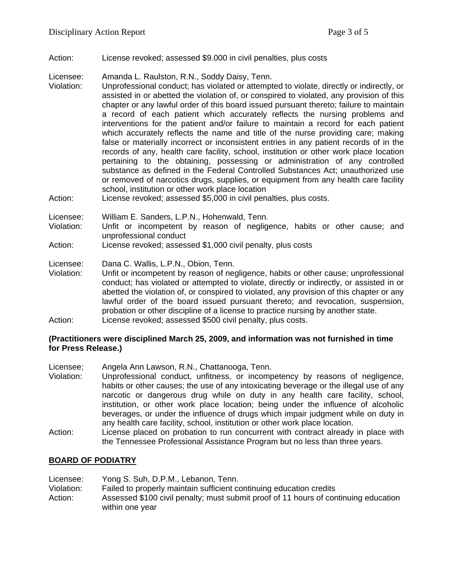Action: License revoked; assessed \$9.000 in civil penalties, plus costs

Licensee: Amanda L. Raulston, R.N., Soddy Daisy, Tenn.

- Violation: Unprofessional conduct; has violated or attempted to violate, directly or indirectly, or assisted in or abetted the violation of, or conspired to violated, any provision of this chapter or any lawful order of this board issued pursuant thereto; failure to maintain a record of each patient which accurately reflects the nursing problems and interventions for the patient and/or failure to maintain a record for each patient which accurately reflects the name and title of the nurse providing care; making false or materially incorrect or inconsistent entries in any patient records of in the records of any, health care facility, school, institution or other work place location pertaining to the obtaining, possessing or administration of any controlled substance as defined in the Federal Controlled Substances Act; unauthorized use or removed of narcotics drugs, supplies, or equipment from any health care facility school, institution or other work place location
- Action: License revoked; assessed \$5,000 in civil penalties, plus costs.

Licensee: William E. Sanders, L.P.N., Hohenwald, Tenn.

Violation: Unfit or incompetent by reason of negligence, habits or other cause; and unprofessional conduct

Action: License revoked; assessed \$1,000 civil penalty, plus costs

Licensee: Dana C. Wallis, L.P.N., Obion, Tenn.

Violation: Unfit or incompetent by reason of negligence, habits or other cause; unprofessional conduct; has violated or attempted to violate, directly or indirectly, or assisted in or abetted the violation of, or conspired to violated, any provision of this chapter or any lawful order of the board issued pursuant thereto; and revocation, suspension, probation or other discipline of a license to practice nursing by another state. Action: License revoked; assessed \$500 civil penalty, plus costs.

### **(Practitioners were disciplined March 25, 2009, and information was not furnished in time for Press Release.)**

Licensee; Angela Ann Lawson, R.N., Chattanooga, Tenn.

- Violation: Unprofessional conduct, unfitness, or incompetency by reasons of negligence, habits or other causes; the use of any intoxicating beverage or the illegal use of any narcotic or dangerous drug while on duty in any health care facility, school, institution, or other work place location; being under the influence of alcoholic beverages, or under the influence of drugs which impair judgment while on duty in any health care facility, school, institution or other work place location.
- Action: License placed on probation to run concurrent with contract already in place with the Tennessee Professional Assistance Program but no less than three years.

### **BOARD OF PODIATRY**

Licensee: Yong S. Suh, D.P.M., Lebanon, Tenn. Violation: Failed to properly maintain sufficient continuing education credits Action: Assessed \$100 civil penalty; must submit proof of 11 hours of continuing education within one year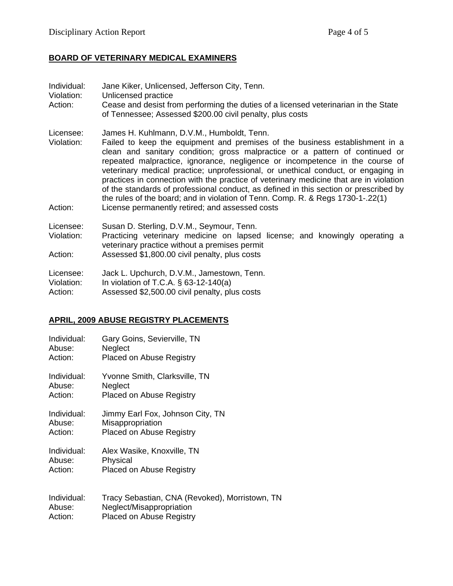## **BOARD OF VETERINARY MEDICAL EXAMINERS**

| Individual:<br>Violation:<br>Action: | Jane Kiker, Unlicensed, Jefferson City, Tenn.<br>Unlicensed practice<br>Cease and desist from performing the duties of a licensed veterinarian in the State<br>of Tennessee; Assessed \$200.00 civil penalty, plus costs                                                                                                                                                                                                                                                                                                                                                                                                                              |
|--------------------------------------|-------------------------------------------------------------------------------------------------------------------------------------------------------------------------------------------------------------------------------------------------------------------------------------------------------------------------------------------------------------------------------------------------------------------------------------------------------------------------------------------------------------------------------------------------------------------------------------------------------------------------------------------------------|
| Licensee:<br>Violation:              | James H. Kuhlmann, D.V.M., Humboldt, Tenn.<br>Failed to keep the equipment and premises of the business establishment in a<br>clean and sanitary condition; gross malpractice or a pattern of continued or<br>repeated malpractice, ignorance, negligence or incompetence in the course of<br>veterinary medical practice; unprofessional, or unethical conduct, or engaging in<br>practices in connection with the practice of veterinary medicine that are in violation<br>of the standards of professional conduct, as defined in this section or prescribed by<br>the rules of the board; and in violation of Tenn. Comp. R. & Regs 1730-1-.22(1) |
| Action:                              | License permanently retired; and assessed costs                                                                                                                                                                                                                                                                                                                                                                                                                                                                                                                                                                                                       |
| Licensee:<br>Violation:              | Susan D. Sterling, D.V.M., Seymour, Tenn.<br>Practicing veterinary medicine on lapsed license; and knowingly operating a<br>veterinary practice without a premises permit                                                                                                                                                                                                                                                                                                                                                                                                                                                                             |
| Action:                              | Assessed \$1,800.00 civil penalty, plus costs                                                                                                                                                                                                                                                                                                                                                                                                                                                                                                                                                                                                         |
| Licensee:<br>Violation:<br>Action:   | Jack L. Upchurch, D.V.M., Jamestown, Tenn.<br>In violation of T.C.A. $\S$ 63-12-140(a)<br>Assessed \$2,500.00 civil penalty, plus costs                                                                                                                                                                                                                                                                                                                                                                                                                                                                                                               |

## **APRIL, 2009 ABUSE REGISTRY PLACEMENTS**

| Gary Goins, Sevierville, TN<br>Neglect<br><b>Placed on Abuse Registry</b>                                     |
|---------------------------------------------------------------------------------------------------------------|
| Yvonne Smith, Clarksville, TN<br>Neglect<br><b>Placed on Abuse Registry</b>                                   |
| Jimmy Earl Fox, Johnson City, TN<br>Misappropriation<br><b>Placed on Abuse Registry</b>                       |
| Alex Wasike, Knoxville, TN<br>Physical<br>Placed on Abuse Registry                                            |
| Tracy Sebastian, CNA (Revoked), Morristown, TN<br>Neglect/Misappropriation<br><b>Placed on Abuse Registry</b> |
|                                                                                                               |